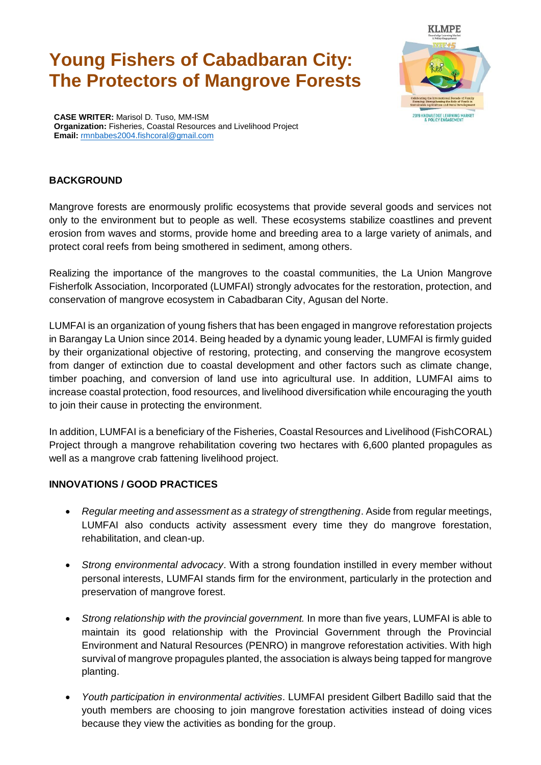# **Young Fishers of Cabadbaran City: The Protectors of Mangrove Forests**



**CASE WRITER:** Marisol D. Tuso, MM-ISM **Organization:** Fisheries, Coastal Resources and Livelihood Project **Email:** rmnbabes2004.fishcoral@gmail.com

## **BACKGROUND**

Mangrove forests are enormously prolific ecosystems that provide several goods and services not only to the environment but to people as well. These ecosystems stabilize coastlines and prevent erosion from waves and storms, provide home and breeding area to a large variety of animals, and protect coral reefs from being smothered in sediment, among others.

Realizing the importance of the mangroves to the coastal communities, the La Union Mangrove Fisherfolk Association, Incorporated (LUMFAI) strongly advocates for the restoration, protection, and conservation of mangrove ecosystem in Cabadbaran City, Agusan del Norte.

LUMFAI is an organization of young fishers that has been engaged in mangrove reforestation projects in Barangay La Union since 2014. Being headed by a dynamic young leader, LUMFAI is firmly guided by their organizational objective of restoring, protecting, and conserving the mangrove ecosystem from danger of extinction due to coastal development and other factors such as climate change, timber poaching, and conversion of land use into agricultural use. In addition, LUMFAI aims to increase coastal protection, food resources, and livelihood diversification while encouraging the youth to join their cause in protecting the environment.

In addition, LUMFAI is a beneficiary of the Fisheries, Coastal Resources and Livelihood (FishCORAL) Project through a mangrove rehabilitation covering two hectares with 6,600 planted propagules as well as a mangrove crab fattening livelihood project.

### **INNOVATIONS / GOOD PRACTICES**

- *Regular meeting and assessment as a strategy of strengthening*. Aside from regular meetings, LUMFAI also conducts activity assessment every time they do mangrove forestation, rehabilitation, and clean-up.
- *Strong environmental advocacy*. With a strong foundation instilled in every member without personal interests, LUMFAI stands firm for the environment, particularly in the protection and preservation of mangrove forest.
- *Strong relationship with the provincial government.* In more than five years, LUMFAI is able to maintain its good relationship with the Provincial Government through the Provincial Environment and Natural Resources (PENRO) in mangrove reforestation activities. With high survival of mangrove propagules planted, the association is always being tapped for mangrove planting.
- *Youth participation in environmental activities*. LUMFAI president Gilbert Badillo said that the youth members are choosing to join mangrove forestation activities instead of doing vices because they view the activities as bonding for the group.